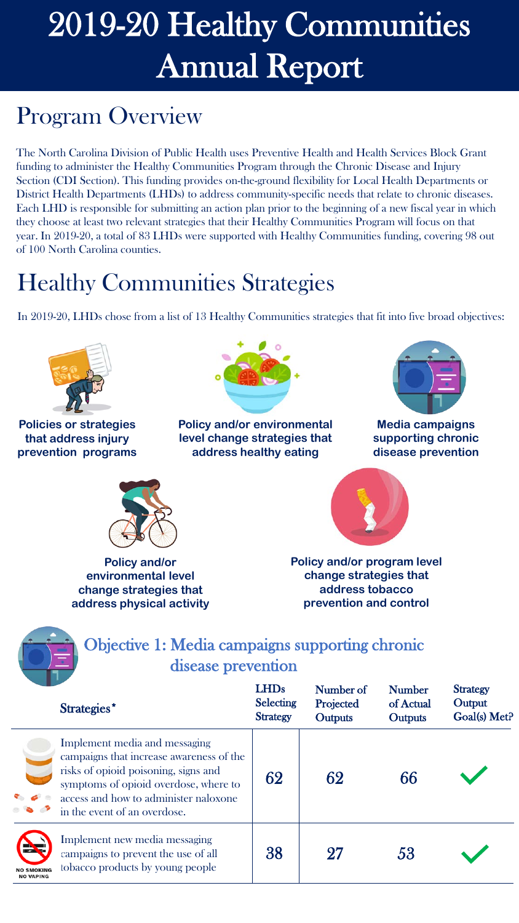### Program Overview

The North Carolina Division of Public Health uses Preventive Health and Health Services Block Grant funding to administer the Healthy Communities Program through the Chronic Disease and Injury Section (CDI Section). This funding provides on-the-ground flexibility for Local Health Departments or District Health Departments (LHDs) to address community-specific needs that relate to chronic diseases. Each LHD is responsible for submitting an action plan prior to the beginning of a new fiscal year in which they choose at least two relevant strategies that their Healthy Communities Program will focus on that year. In 2019-20, a total of 83 LHDs were supported with Healthy Communities funding, covering 98 out of 100 North Carolina counties.

## Healthy Communities Strategies

In 2019-20, LHDs chose from a list of 13 Healthy Communities strategies that fit into five broad objectives:

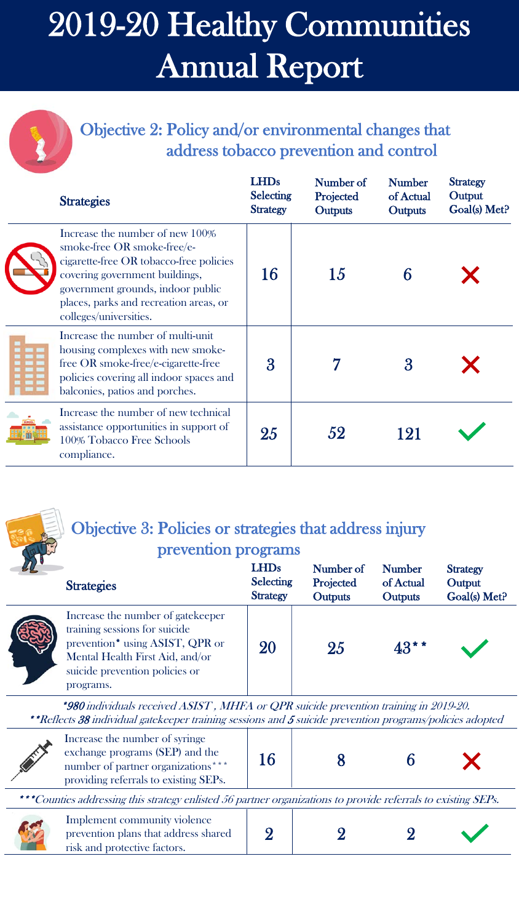Objective 2: Policy and/or environmental changes that address tobacco prevention and control

| <b>Strategies</b>                                                                                                                                                                                                                                    | <b>LHDs</b><br><b>Selecting</b><br><b>Strategy</b> | Number of<br>Projected<br><b>Outputs</b> | <b>Number</b><br>of Actual<br><b>Outputs</b> | <b>Strategy</b><br>Output<br>Goal(s) Met? |
|------------------------------------------------------------------------------------------------------------------------------------------------------------------------------------------------------------------------------------------------------|----------------------------------------------------|------------------------------------------|----------------------------------------------|-------------------------------------------|
| Increase the number of new 100%<br>smoke-free OR smoke-free/e-<br>cigarette-free OR tobacco-free policies<br>covering government buildings,<br>government grounds, indoor public<br>places, parks and recreation areas, or<br>colleges/universities. | 16                                                 | 15                                       |                                              |                                           |
| Increase the number of multi-unit<br>housing complexes with new smoke-<br>free OR smoke-free/e-cigarette-free<br>policies covering all indoor spaces and<br>balconies, patios and porches.                                                           | $\overline{3}$                                     |                                          | 3                                            |                                           |
| Increase the number of new technical<br>assistance opportunities in support of<br>100% Tobacco Free Schools<br>compliance.                                                                                                                           | 25                                                 | 52                                       | 121                                          |                                           |



#### Objective 3: Policies or strategies that address injury

#### prevention programs

| <b>Strategies</b>                                                                                                                                                                       | <b>LHDs</b><br><b>Selecting</b><br><b>Strategy</b> | Number of<br>Projected<br><b>Outputs</b> | <b>Number</b><br>of Actual<br>Outputs | <b>Strategy</b><br>Output<br>Goal(s) Met? |
|-----------------------------------------------------------------------------------------------------------------------------------------------------------------------------------------|----------------------------------------------------|------------------------------------------|---------------------------------------|-------------------------------------------|
| Increase the number of gatekeeper<br>training sessions for suicide<br>prevention* using ASIST, QPR or<br>Mental Health First Aid, and/or<br>suicide prevention policies or<br>programs. | 20                                                 | 25                                       | 43**                                  |                                           |

\*980 individuals received ASIST , MHFA or QPR suicide prevention training in 2019-20. \*\*Reflects 38 individual gatekeeper training sessions and 5 suicide prevention programs/policies adopted

|                                                                                                                 | Increase the number of syringe<br>exchange programs (SEP) and the<br>number of partner organizations <sup>****</sup><br>providing referrals to existing SEPs. |  |  |  |  |  |
|-----------------------------------------------------------------------------------------------------------------|---------------------------------------------------------------------------------------------------------------------------------------------------------------|--|--|--|--|--|
| ***Counties addressing this strategy enlisted 56 partner organizations to provide referrals to evisting $SFP_c$ |                                                                                                                                                               |  |  |  |  |  |

| ***Counties addressing this strategy enlisted 56 partner organizations to provide referrals to existing SEPs. |  |  |
|---------------------------------------------------------------------------------------------------------------|--|--|
|                                                                                                               |  |  |

|  |  | Implement community violence<br>prevention plans that address shared<br>risk and protective factors. |  |  |  |  |  |
|--|--|------------------------------------------------------------------------------------------------------|--|--|--|--|--|
|--|--|------------------------------------------------------------------------------------------------------|--|--|--|--|--|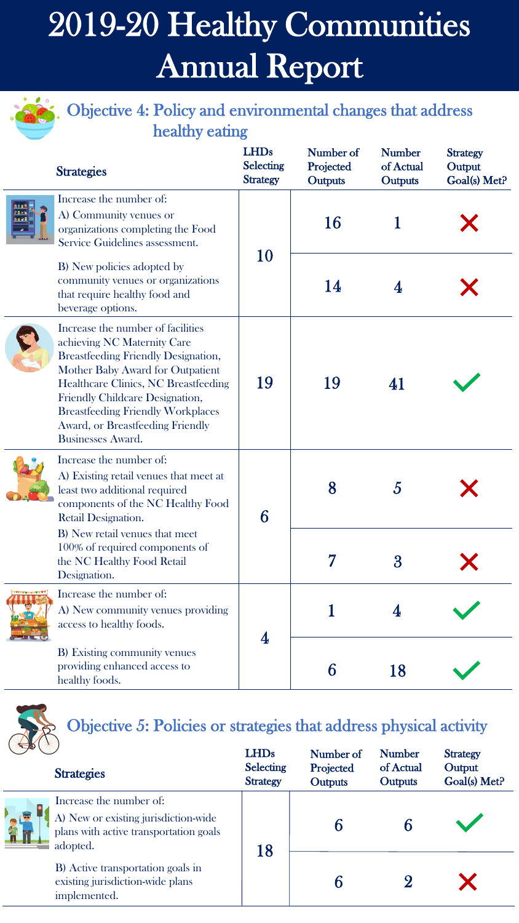#### **Primerish**: Objective 4: Policy and environmental changes that address healthy eating

|  | <b>Strategies</b>                                                                                                                                                                                                                                                                                                                                | <b>LHDs</b><br><b>Selecting</b><br><b>Strategy</b> | Number of<br>Projected<br>Outputs | <b>Number</b><br>of Actual<br>Outputs | <b>Strategy</b><br>Output<br>Goal(s) Met? |
|--|--------------------------------------------------------------------------------------------------------------------------------------------------------------------------------------------------------------------------------------------------------------------------------------------------------------------------------------------------|----------------------------------------------------|-----------------------------------|---------------------------------------|-------------------------------------------|
|  | Increase the number of:<br>A) Community venues or<br>organizations completing the Food<br>Service Guidelines assessment.                                                                                                                                                                                                                         |                                                    | 16                                |                                       |                                           |
|  | B) New policies adopted by<br>community venues or organizations<br>that require healthy food and<br>beverage options.                                                                                                                                                                                                                            | 10                                                 | 14                                | 4                                     |                                           |
|  | Increase the number of facilities<br>achieving NC Maternity Care<br><b>Breastfeeding Friendly Designation,</b><br>Mother Baby Award for Outpatient<br><b>Healthcare Clinics, NC Breastfeeding</b><br>Friendly Childcare Designation,<br><b>Breastfeeding Friendly Workplaces</b><br>Award, or Breastfeeding Friendly<br><b>Businesses Award.</b> | 19                                                 | 19                                | 41                                    |                                           |
|  | Increase the number of:<br>A) Existing retail venues that meet at<br>least two additional required<br>components of the NC Healthy Food<br>Retail Designation.                                                                                                                                                                                   | 6                                                  | 8                                 | $\overline{5}$                        |                                           |
|  | B) New retail venues that meet<br>100% of required components of<br>the NC Healthy Food Retail<br>Designation.                                                                                                                                                                                                                                   |                                                    |                                   | 3                                     |                                           |
|  | Increase the number of:<br>A) New community venues providing<br>access to healthy foods.                                                                                                                                                                                                                                                         |                                                    |                                   |                                       |                                           |
|  | B) Existing community venues<br>providing enhanced access to<br>healthy foods.                                                                                                                                                                                                                                                                   | 4                                                  | 6                                 | 18                                    |                                           |



**CONTRACTOR** 

## Objective 5: Policies or strategies that address physical activity

| SOV         |                                                                                                                       | <b>LHDs</b>                         | Number of            | <b>Number</b>        | <b>Strategy</b>        |
|-------------|-----------------------------------------------------------------------------------------------------------------------|-------------------------------------|----------------------|----------------------|------------------------|
|             | <b>Strategies</b>                                                                                                     | <b>Selecting</b><br><b>Strategy</b> | Projected<br>Outputs | of Actual<br>Outputs | Output<br>Goal(s) Met? |
| e de<br>Lit | Increase the number of:<br>A) New or existing jurisdiction-wide<br>plans with active transportation goals<br>adopted. |                                     |                      |                      |                        |
|             | B) Active transportation goals in<br>existing jurisdiction-wide plans<br>implemented.                                 | 18                                  |                      |                      |                        |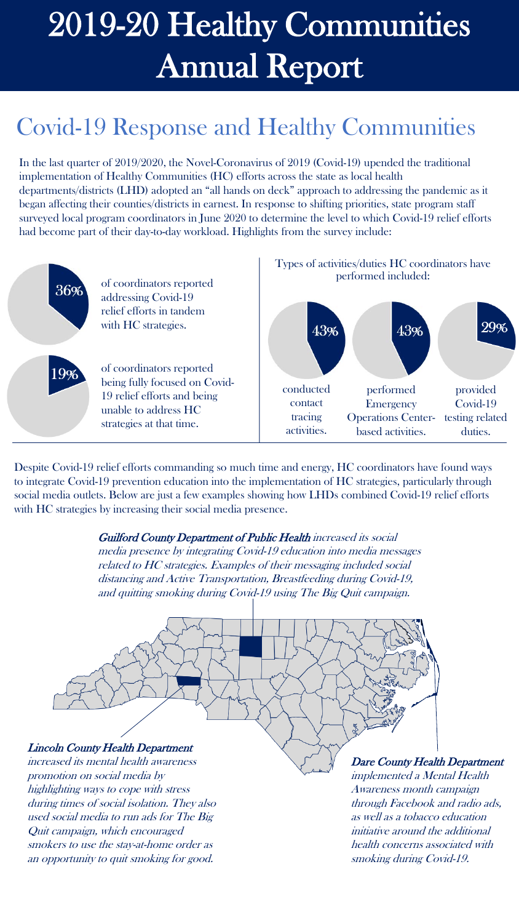### Covid-19 Response and Healthy Communities

In the last quarter of 2019/2020, the Novel-Coronavirus of 2019 (Covid-19) upended the traditional implementation of Healthy Communities (HC) efforts across the state as local health departments/districts (LHD) adopted an "all hands on deck" approach to addressing the pandemic as it began affecting their counties/districts in earnest. In response to shifting priorities, state program staff surveyed local program coordinators in June 2020 to determine the level to which Covid-19 relief efforts had become part of their day-to-day workload. Highlights from the survey include:



Despite Covid-19 relief efforts commanding so much time and energy, HC coordinators have found ways to integrate Covid-19 prevention education into the implementation of HC strategies, particularly through social media outlets. Below are just a few examples showing how LHDs combined Covid-19 relief efforts with HC strategies by increasing their social media presence.

#### Guilford County Department of Public Health increased its social

media presence by integrating Covid-19 education into media messages related to HC strategies. Examples of their messaging included social distancing and Active Transportation, Breastfeeding during Covid-19, and quitting smoking during Covid-19 using The Big Quit campaign.



highlighting ways to cope with stress during times of social isolation. They also used social media to run ads for The Big Quit campaign, which encouraged smokers to use the stay-at-home order as an opportunity to quit smoking for good.

Dare County Health Department

implemented a Mental Health Awareness month campaign through Facebook and radio ads, as well as a tobacco education initiative around the additional health concerns associated with smoking during Covid-19.